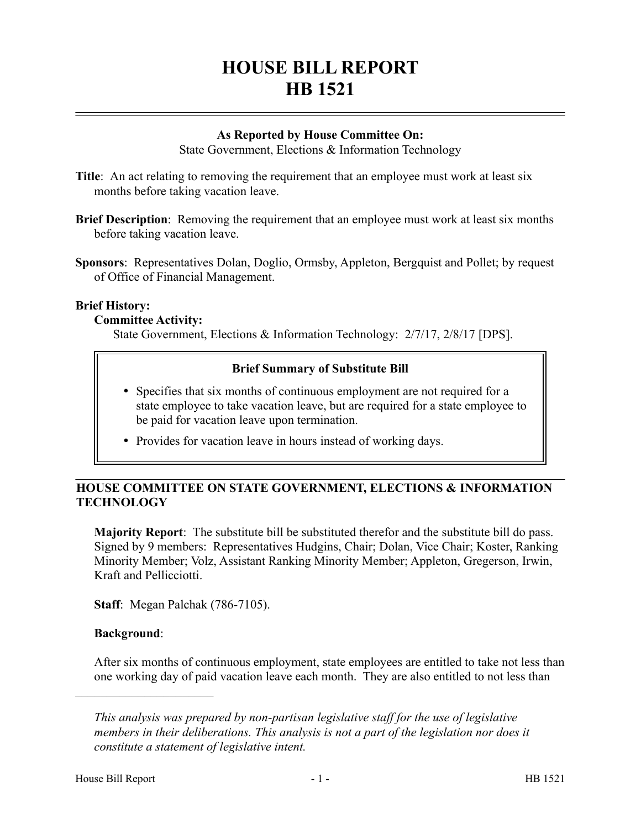# **HOUSE BILL REPORT HB 1521**

# **As Reported by House Committee On:**

State Government, Elections & Information Technology

- **Title:** An act relating to removing the requirement that an employee must work at least six months before taking vacation leave.
- **Brief Description**: Removing the requirement that an employee must work at least six months before taking vacation leave.
- **Sponsors**: Representatives Dolan, Doglio, Ormsby, Appleton, Bergquist and Pollet; by request of Office of Financial Management.

#### **Brief History:**

#### **Committee Activity:**

State Government, Elections & Information Technology: 2/7/17, 2/8/17 [DPS].

## **Brief Summary of Substitute Bill**

- Specifies that six months of continuous employment are not required for a state employee to take vacation leave, but are required for a state employee to be paid for vacation leave upon termination.
- Provides for vacation leave in hours instead of working days.

# **HOUSE COMMITTEE ON STATE GOVERNMENT, ELECTIONS & INFORMATION TECHNOLOGY**

**Majority Report**: The substitute bill be substituted therefor and the substitute bill do pass. Signed by 9 members: Representatives Hudgins, Chair; Dolan, Vice Chair; Koster, Ranking Minority Member; Volz, Assistant Ranking Minority Member; Appleton, Gregerson, Irwin, Kraft and Pellicciotti.

**Staff**: Megan Palchak (786-7105).

# **Background**:

––––––––––––––––––––––

After six months of continuous employment, state employees are entitled to take not less than one working day of paid vacation leave each month. They are also entitled to not less than

*This analysis was prepared by non-partisan legislative staff for the use of legislative members in their deliberations. This analysis is not a part of the legislation nor does it constitute a statement of legislative intent.*